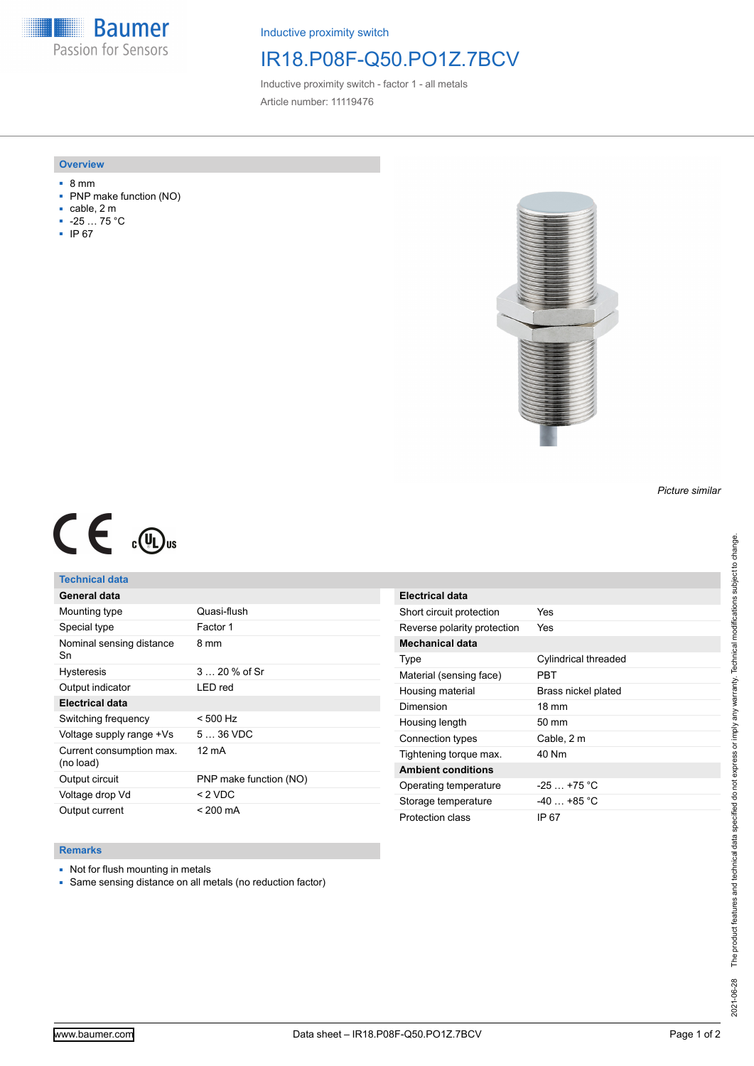**Baumer** Passion for Sensors

Inductive proximity switch

# IR18.P08F-Q50.PO1Z.7BCV

Inductive proximity switch - factor 1 - all metals Article number: 11119476

### **Overview**

- 8 mm
- PNP make function (NO)
- cable, 2 m
- -25 … 75 °C
- IP 67



#### *Picture similar*

# $C \in \mathbb{C}$

## **Technical data**

| General data                          |                        |
|---------------------------------------|------------------------|
| Mounting type                         | Quasi-flush            |
| Special type                          | Factor 1               |
| Nominal sensing distance<br>Sn        | 8 mm                   |
| <b>Hysteresis</b>                     | $320%$ of Sr           |
| Output indicator                      | LED red                |
| <b>Electrical data</b>                |                        |
| Switching frequency                   | $< 500$ Hz             |
| Voltage supply range +Vs              | $536$ VDC              |
| Current consumption max.<br>(no load) | $12 \text{ mA}$        |
| Output circuit                        | PNP make function (NO) |
| Voltage drop Vd                       | $< 2$ VDC              |
| Output current                        | $< 200 \text{ mA}$     |

| Electrical data             |                      |
|-----------------------------|----------------------|
| Short circuit protection    | Yes                  |
| Reverse polarity protection | Yes                  |
| <b>Mechanical data</b>      |                      |
| Type                        | Cylindrical threaded |
| Material (sensing face)     | PRT                  |
| Housing material            | Brass nickel plated  |
| Dimension                   | $18 \text{ mm}$      |
| Housing length              | 50 mm                |
| Connection types            | Cable, 2 m           |
| Tightening torque max.      | 40 Nm                |
| <b>Ambient conditions</b>   |                      |
| Operating temperature       | $-25 + 75$ °C        |
| Storage temperature         | -40 +85 °C           |
| Protection class            | IP 67                |

## **Remarks**

- Not for flush mounting in metals
- Same sensing distance on all metals (no reduction factor)